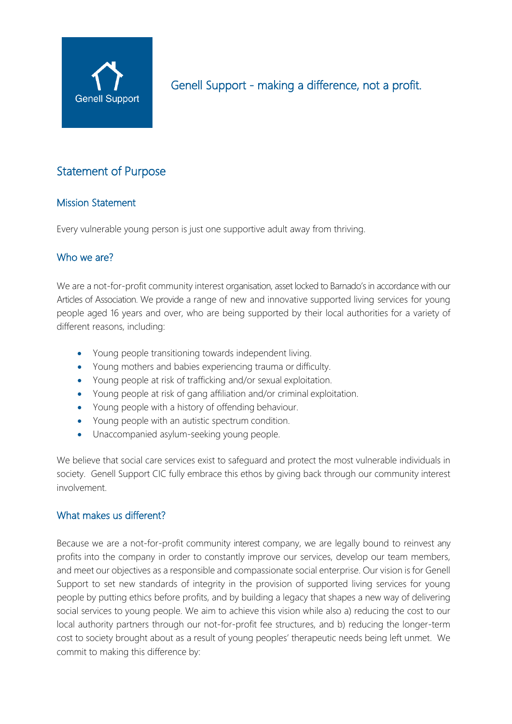

# Statement of Purpose

# Mission Statement

Every vulnerable young person is just one supportive adult away from thriving.

# Who we are?

We are a not-for-profit community interest organisation, asset locked to Barnado's in accordance with our Articles of Association. We provide a range of new and innovative supported living services for young people aged 16 years and over, who are being supported by their local authorities for a variety of different reasons, including:

- Young people transitioning towards independent living.
- Young mothers and babies experiencing trauma or difficulty.
- Young people at risk of trafficking and/or sexual exploitation.
- Young people at risk of gang affiliation and/or criminal exploitation.
- Young people with a history of offending behaviour.
- Young people with an autistic spectrum condition.
- Unaccompanied asylum-seeking young people.

We believe that social care services exist to safeguard and protect the most vulnerable individuals in society. Genell Support CIC fully embrace this ethos by giving back through our community interest involvement.

#### What makes us different?

Because we are a not-for-profit community interest company, we are legally bound to reinvest any profits into the company in order to constantly improve our services, develop our team members, and meet our objectives as a responsible and compassionate social enterprise. Our vision is for Genell Support to set new standards of integrity in the provision of supported living services for young people by putting ethics before profits, and by building a legacy that shapes a new way of delivering social services to young people. We aim to achieve this vision while also a) reducing the cost to our local authority partners through our not-for-profit fee structures, and b) reducing the longer-term cost to society brought about as a result of young peoples' therapeutic needs being left unmet. We commit to making this difference by: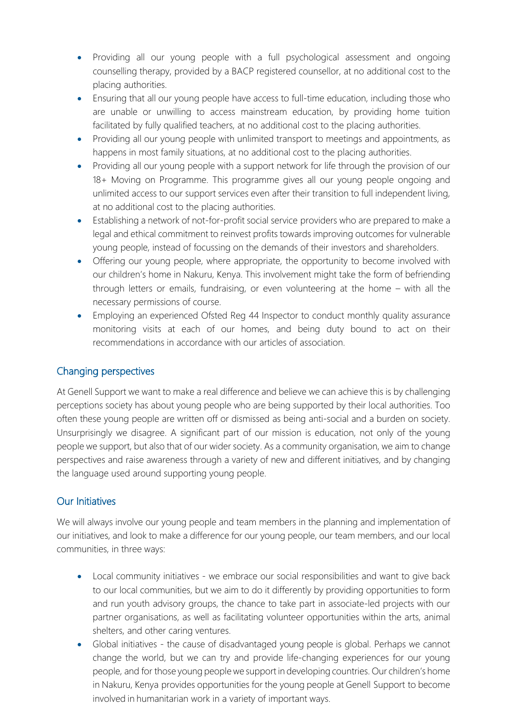- Providing all our young people with a full psychological assessment and ongoing counselling therapy, provided by a BACP registered counsellor, at no additional cost to the placing authorities.
- Ensuring that all our young people have access to full-time education, including those who are unable or unwilling to access mainstream education, by providing home tuition facilitated by fully qualified teachers, at no additional cost to the placing authorities.
- Providing all our young people with unlimited transport to meetings and appointments, as happens in most family situations, at no additional cost to the placing authorities.
- Providing all our young people with a support network for life through the provision of our 18+ Moving on Programme. This programme gives all our young people ongoing and unlimited access to our support services even after their transition to full independent living, at no additional cost to the placing authorities.
- Establishing a network of not-for-profit social service providers who are prepared to make a legal and ethical commitment to reinvest profits towards improving outcomes for vulnerable young people, instead of focussing on the demands of their investors and shareholders.
- Offering our young people, where appropriate, the opportunity to become involved with our children's home in Nakuru, Kenya. This involvement might take the form of befriending through letters or emails, fundraising, or even volunteering at the home – with all the necessary permissions of course.
- Employing an experienced Ofsted Reg 44 Inspector to conduct monthly quality assurance monitoring visits at each of our homes, and being duty bound to act on their recommendations in accordance with our articles of association.

# Changing perspectives

At Genell Support we want to make a real difference and believe we can achieve this is by challenging perceptions society has about young people who are being supported by their local authorities. Too often these young people are written off or dismissed as being anti-social and a burden on society. Unsurprisingly we disagree. A significant part of our mission is education, not only of the young people we support, but also that of our wider society. As a community organisation, we aim to change perspectives and raise awareness through a variety of new and different initiatives, and by changing the language used around supporting young people.

# Our Initiatives

We will always involve our young people and team members in the planning and implementation of our initiatives, and look to make a difference for our young people, our team members, and our local communities, in three ways:

- Local community initiatives we embrace our social responsibilities and want to give back to our local communities, but we aim to do it differently by providing opportunities to form and run youth advisory groups, the chance to take part in associate-led projects with our partner organisations, as well as facilitating volunteer opportunities within the arts, animal shelters, and other caring ventures.
- Global initiatives the cause of disadvantaged young people is global. Perhaps we cannot change the world, but we can try and provide life-changing experiences for our young people, and for those young peoplewe support in developing countries. Our children's home in Nakuru, Kenya provides opportunities for the young people at Genell Support to become involved in humanitarian work in a variety of important ways.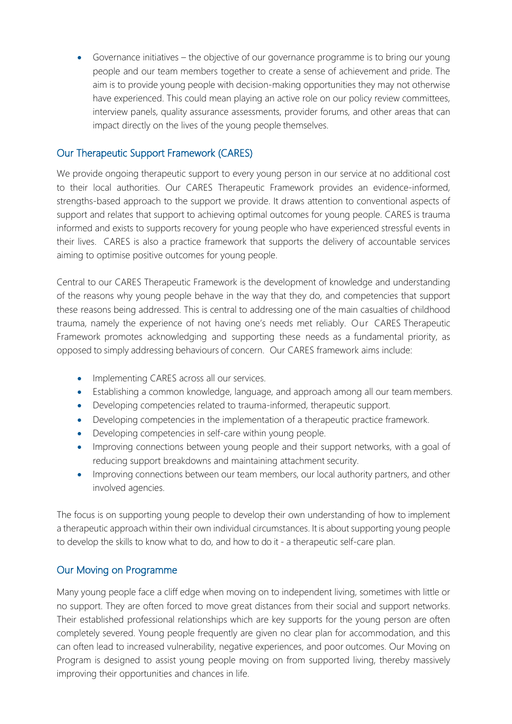• Governance initiatives – the objective of our governance programme is to bring our young people and our team members together to create a sense of achievement and pride. The aim is to provide young people with decision-making opportunities they may not otherwise have experienced. This could mean playing an active role on our policy review committees, interview panels, quality assurance assessments, provider forums, and other areas that can impact directly on the lives of the young people themselves.

# Our Therapeutic Support Framework (CARES)

We provide ongoing therapeutic support to every young person in our service at no additional cost to their local authorities. Our CARES Therapeutic Framework provides an evidence-informed, strengths-based approach to the support we provide. It draws attention to conventional aspects of support and relates that support to achieving optimal outcomes for young people. CARES is trauma informed and exists to supports recovery for young people who have experienced stressful events in their lives. CARES is also a practice framework that supports the delivery of accountable services aiming to optimise positive outcomes for young people.

Central to our CARES Therapeutic Framework is the development of knowledge and understanding of the reasons why young people behave in the way that they do, and competencies that support these reasons being addressed. This is central to addressing one of the main casualties of childhood trauma, namely the experience of not having one's needs met reliably. Our CARES Therapeutic Framework promotes acknowledging and supporting these needs as a fundamental priority, as opposed to simply addressing behaviours of concern. Our CARES framework aims include:

- Implementing CARES across all our services.
- Establishing a common knowledge, language, and approach among all our team members.
- Developing competencies related to trauma-informed, therapeutic support.
- Developing competencies in the implementation of a therapeutic practice framework.
- Developing competencies in self-care within young people.
- Improving connections between young people and their support networks, with a goal of reducing support breakdowns and maintaining attachment security.
- Improving connections between our team members, our local authority partners, and other involved agencies.

The focus is on supporting young people to develop their own understanding of how to implement a therapeutic approach within their own individual circumstances. It is about supporting young people to develop the skills to know what to do, and how to do it - a therapeutic self-care plan.

# Our Moving on Programme

Many young people face a cliff edge when moving on to independent living, sometimes with little or no support. They are often forced to move great distances from their social and support networks. Their established professional relationships which are key supports for the young person are often completely severed. Young people frequently are given no clear plan for accommodation, and this can often lead to increased vulnerability, negative experiences, and poor outcomes. Our Moving on Program is designed to assist young people moving on from supported living, thereby massively improving their opportunities and chances in life.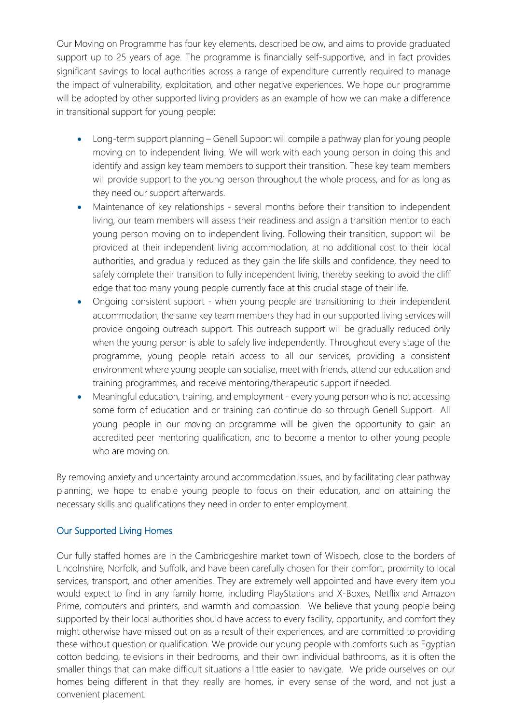Our Moving on Programme has four key elements, described below, and aims to provide graduated support up to 25 years of age. The programme is financially self-supportive, and in fact provides significant savings to local authorities across a range of expenditure currently required to manage the impact of vulnerability, exploitation, and other negative experiences. We hope our programme will be adopted by other supported living providers as an example of how we can make a difference in transitional support for young people:

- Long-term support planning Genell Support will compile a pathway plan for young people moving on to independent living. We will work with each young person in doing this and identify and assign key team members to support their transition. These key team members will provide support to the young person throughout the whole process, and for as long as they need our support afterwards.
- Maintenance of key relationships several months before their transition to independent living, our team members will assess their readiness and assign a transition mentor to each young person moving on to independent living. Following their transition, support will be provided at their independent living accommodation, at no additional cost to their local authorities, and gradually reduced as they gain the life skills and confidence, they need to safely complete their transition to fully independent living, thereby seeking to avoid the cliff edge that too many young people currently face at this crucial stage of their life.
- Ongoing consistent support when young people are transitioning to their independent accommodation, the same key team members they had in our supported living services will provide ongoing outreach support. This outreach support will be gradually reduced only when the young person is able to safely live independently. Throughout every stage of the programme, young people retain access to all our services, providing a consistent environment where young people can socialise, meet with friends, attend our education and training programmes, and receive mentoring/therapeutic support ifneeded.
- Meaningful education, training, and employment every young person who is not accessing some form of education and or training can continue do so through Genell Support. All young people in our moving on programme will be given the opportunity to gain an accredited peer mentoring qualification, and to become a mentor to other young people who are moving on.

By removing anxiety and uncertainty around accommodation issues, and by facilitating clear pathway planning, we hope to enable young people to focus on their education, and on attaining the necessary skills and qualifications they need in order to enter employment.

#### Our Supported Living Homes

Our fully staffed homes are in the Cambridgeshire market town of Wisbech, close to the borders of Lincolnshire, Norfolk, and Suffolk, and have been carefully chosen for their comfort, proximity to local services, transport, and other amenities. They are extremely well appointed and have every item you would expect to find in any family home, including PlayStations and X-Boxes, Netflix and Amazon Prime, computers and printers, and warmth and compassion. We believe that young people being supported by their local authorities should have access to every facility, opportunity, and comfort they might otherwise have missed out on as a result of their experiences, and are committed to providing these without question or qualification. We provide our young people with comforts such as Egyptian cotton bedding, televisions in their bedrooms, and their own individual bathrooms, as it is often the smaller things that can make difficult situations a little easier to navigate. We pride ourselves on our homes being different in that they really are homes, in every sense of the word, and not just a convenient placement.